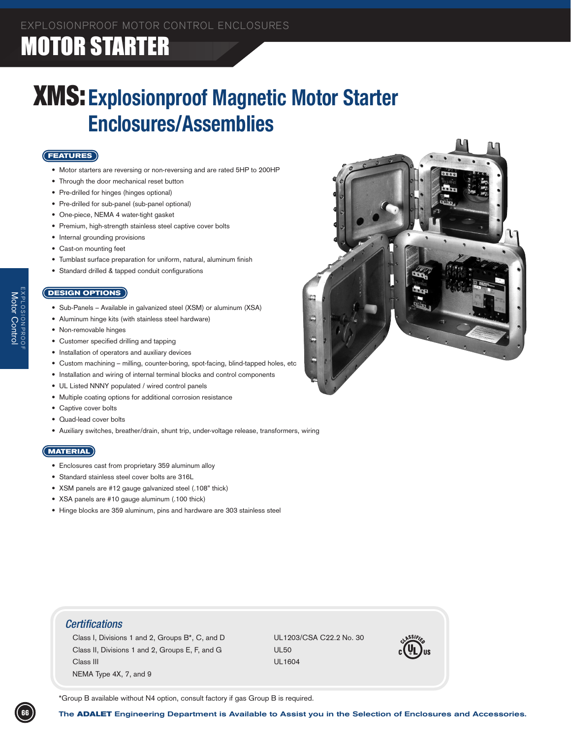### MOTOR STARTER

### XMS:**Explosionproof Magnetic Motor Starter Enclosures/Assemblies**

### **FEATURES**

- Motor starters are reversing or non-reversing and are rated 5HP to 200HP
- Through the door mechanical reset button
- Pre-drilled for hinges (hinges optional)
- • Pre-drilled for sub-panel (sub-panel optional)
- • One-piece, NEMA 4 water-tight gasket
- Premium, high-strength stainless steel captive cover bolts
- • Internal grounding provisions
- Cast-on mounting feet
- • Tumblast surface preparation for uniform, natural, aluminum finish
- Standard drilled & tapped conduit configurations

#### **DESIGN OPTIONS**

- Sub-Panels Available in galvanized steel (XSM) or aluminum (XSA)
- Aluminum hinge kits (with stainless steel hardware)
- Non-removable hinges

EXPLOSIONPROOF Motor

Control

- • Customer specified drilling and tapping
- Installation of operators and auxiliary devices
- • Custom machining milling, counter-boring, spot-facing, blind-tapped holes, etc
- • Installation and wiring of internal terminal blocks and control components
- UL Listed NNNY populated / wired control panels
- • Multiple coating options for additional corrosion resistance
- Captive cover bolts
- Quad-lead cover bolts
- • Auxiliary switches, breather/drain, shunt trip, under-voltage release, transformers, wiring

### **MATERIAL**

- Enclosures cast from proprietary 359 aluminum alloy
- • Standard stainless steel cover bolts are 316L
- • XSM panels are #12 gauge galvanized steel (.108" thick)
- XSA panels are #10 gauge aluminum (.100 thick)
- Hinge blocks are 359 aluminum, pins and hardware are 303 stainless steel



### *Certifications*

Class I, Divisions 1 and 2, Groups  $B^*$ , C, and D UL1203/CSA C22.2 No. 30 Class II, Divisions 1 and 2, Groups E, F, and G UL50 Class III **DELETS** CLASS III **DELETS** CLASS III **DELETS** CLASS III **DELETS** CLASS III NEMA Type 4X, 7, and 9 



\*Group B available without N4 option, consult factory if gas Group B is required.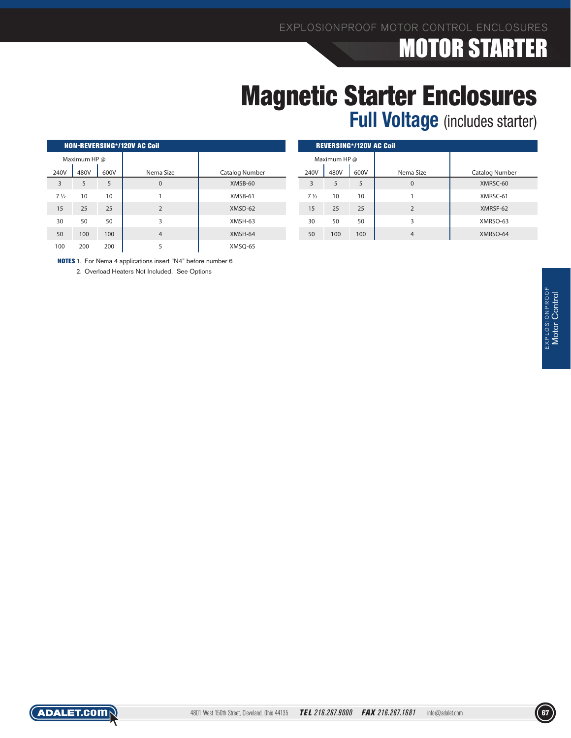# MOTOR STARTER

### Magnetic Starter Enclosures **Full Voltage** (includes starter)

| <b>NON-REVERSING*/120V AC Coil</b> |              |      |                |                |  |  |  |  |  |
|------------------------------------|--------------|------|----------------|----------------|--|--|--|--|--|
|                                    | Maximum HP @ |      |                |                |  |  |  |  |  |
| 240V                               | 480V         | 600V | Nema Size      | Catalog Number |  |  |  |  |  |
| $\overline{3}$                     | 5            | 5    | $\Omega$       | XMSB-60        |  |  |  |  |  |
| $7\frac{1}{2}$                     | 10           | 10   |                | XMSB-61        |  |  |  |  |  |
| 15                                 | 25           | 25   | $\overline{2}$ | XMSD-62        |  |  |  |  |  |
| 30                                 | 50           | 50   | 3              | XMSH-63        |  |  |  |  |  |
| 50                                 | 100          | 100  | $\overline{4}$ | XMSH-64        |  |  |  |  |  |
| 100                                | 200          | 200  | 5              | XMSO-65        |  |  |  |  |  |

| <b>REVERSING*/120V AC Coil</b> |      |      |                |                |  |  |  |  |  |
|--------------------------------|------|------|----------------|----------------|--|--|--|--|--|
| Maximum HP @                   |      |      |                |                |  |  |  |  |  |
| 240V                           | 480V | 600V | Nema Size      | Catalog Number |  |  |  |  |  |
| 3                              | 5    | 5    | $\Omega$       | XMRSC-60       |  |  |  |  |  |
| $7\frac{1}{2}$                 | 10   | 10   |                | XMRSC-61       |  |  |  |  |  |
| 15                             | 25   | 25   | $\mathfrak{D}$ | XMRSF-62       |  |  |  |  |  |
| 30                             | 50   | 50   | 3              | XMRSO-63       |  |  |  |  |  |
| 50                             | 100  | 100  | 4              | XMRSO-64       |  |  |  |  |  |

NOTES 1. For Nema 4 applications insert "N4" before number 6

2. Overload Heaters Not Included. See Options



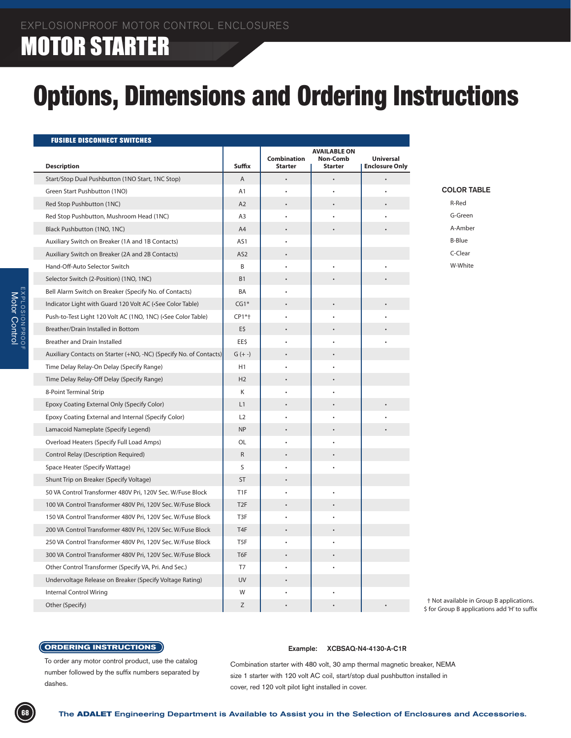## MOTOR STARTER

# Options, Dimensions and Ordering Instructions

| <b>FUSIBLE DISCONNECT SWITCHES</b>                                 |                  |                                      |                                                   |                                           |                                                                                          |
|--------------------------------------------------------------------|------------------|--------------------------------------|---------------------------------------------------|-------------------------------------------|------------------------------------------------------------------------------------------|
| <b>Description</b>                                                 | Suffix           | <b>Combination</b><br><b>Starter</b> | <b>AVAILABLE ON</b><br>Non-Comb<br><b>Starter</b> | <b>Universal</b><br><b>Enclosure Only</b> |                                                                                          |
| Start/Stop Dual Pushbutton (1NO Start, 1NC Stop)                   | A                |                                      |                                                   |                                           |                                                                                          |
| Green Start Pushbutton (1NO)                                       | A1               |                                      |                                                   |                                           | <b>COLOR TABLE</b>                                                                       |
| Red Stop Pushbutton (1NC)                                          | A2               | $\ddot{\phantom{0}}$                 |                                                   |                                           | R-Red                                                                                    |
| Red Stop Pushbutton, Mushroom Head (1NC)                           | A3               | $\bullet$                            | $\bullet$                                         |                                           | G-Green                                                                                  |
| Black Pushbutton (1NO, 1NC)                                        | A4               | $\bullet$                            |                                                   |                                           | A-Amber                                                                                  |
| Auxiliary Switch on Breaker (1A and 1B Contacts)                   | AS1              | $\bullet$                            |                                                   |                                           | <b>B-Blue</b>                                                                            |
| Auxiliary Switch on Breaker (2A and 2B Contacts)                   | AS <sub>2</sub>  | $\bullet$                            |                                                   |                                           | C-Clear                                                                                  |
| Hand-Off-Auto Selector Switch                                      | B                |                                      | $\bullet$                                         |                                           | W-White                                                                                  |
| Selector Switch (2-Position) (1NO, 1NC)                            | <b>B1</b>        | $\bullet$                            |                                                   |                                           |                                                                                          |
| Bell Alarm Switch on Breaker (Specify No. of Contacts)             | BA               |                                      |                                                   |                                           |                                                                                          |
| Indicator Light with Guard 120 Volt AC (.See Color Table)          | $CG1*$           | $\bullet$                            | $\bullet$                                         |                                           |                                                                                          |
| Push-to-Test Light 120 Volt AC (1NO, 1NC) (-See Color Table)       | CP1*+            |                                      |                                                   |                                           |                                                                                          |
| Breather/Drain Installed in Bottom                                 | E\$              |                                      |                                                   |                                           |                                                                                          |
| <b>Breather and Drain Installed</b>                                | EE\$             |                                      |                                                   |                                           |                                                                                          |
| Auxiliary Contacts on Starter (+NO, -NC) (Specify No. of Contacts) | $G (+ -)$        | $\bullet$                            |                                                   |                                           |                                                                                          |
| Time Delay Relay-On Delay (Specify Range)                          | H1               |                                      |                                                   |                                           |                                                                                          |
| Time Delay Relay-Off Delay (Specify Range)                         | H2               |                                      |                                                   |                                           |                                                                                          |
| 8-Point Terminal Strip                                             | Κ                |                                      |                                                   |                                           |                                                                                          |
| Epoxy Coating External Only (Specify Color)                        | L1               |                                      |                                                   |                                           |                                                                                          |
| Epoxy Coating External and Internal (Specify Color)                | L2               |                                      |                                                   |                                           |                                                                                          |
| Lamacoid Nameplate (Specify Legend)                                | <b>NP</b>        |                                      | $\bullet$                                         |                                           |                                                                                          |
| Overload Heaters (Specify Full Load Amps)                          | OL               |                                      |                                                   |                                           |                                                                                          |
| Control Relay (Description Required)                               | R                |                                      |                                                   |                                           |                                                                                          |
| Space Heater (Specify Wattage)                                     | S                |                                      | $\bullet$                                         |                                           |                                                                                          |
| Shunt Trip on Breaker (Specify Voltage)                            | <b>ST</b>        | $\ddot{\phantom{0}}$                 |                                                   |                                           |                                                                                          |
| 50 VA Control Transformer 480V Pri, 120V Sec. W/Fuse Block         | T <sub>1</sub> F | $\bullet$                            | $\bullet$                                         |                                           |                                                                                          |
| 100 VA Control Transformer 480V Pri, 120V Sec. W/Fuse Block        | T <sub>2F</sub>  | $\bullet$                            | $\bullet$                                         |                                           |                                                                                          |
| 150 VA Control Transformer 480V Pri, 120V Sec. W/Fuse Block        | T3F              |                                      | $\bullet$                                         |                                           |                                                                                          |
| 200 VA Control Transformer 480V Pri, 120V Sec. W/Fuse Block        | T <sub>4F</sub>  | $\bullet$                            | $\bullet$                                         |                                           |                                                                                          |
| 250 VA Control Transformer 480V Pri, 120V Sec. W/Fuse Block        | T5F              |                                      |                                                   |                                           |                                                                                          |
| 300 VA Control Transformer 480V Pri, 120V Sec. W/Fuse Block        | T6F              | $\ddot{\phantom{0}}$                 | $\bullet$                                         |                                           |                                                                                          |
| Other Control Transformer (Specify VA, Pri. And Sec.)              | T7               |                                      |                                                   |                                           |                                                                                          |
| Undervoltage Release on Breaker (Specify Voltage Rating)           | <b>UV</b>        | $\bullet$                            |                                                   |                                           |                                                                                          |
| <b>Internal Control Wiring</b>                                     | W                |                                      |                                                   |                                           |                                                                                          |
| Other (Specify)                                                    | Z                | $\bullet$                            | $\bullet$                                         |                                           | † Not available in Group B applications.<br>\$ for Group B applications add 'H' to suffi |

### **ORDERING INSTRUCTIONS**

#### To order any motor control product, use the catalog number followed by the suffix numbers separated by dashes.

#### **Example: XCBSAQ-N4-4130-A-C1R**

Combination starter with 480 volt, 30 amp thermal magnetic breaker, NEMA size 1 starter with 120 volt AC coil, start/stop dual pushbutton installed in cover, red 120 volt pilot light installed in cover.

EXPLOSIONPROOF Motor

I.

Control